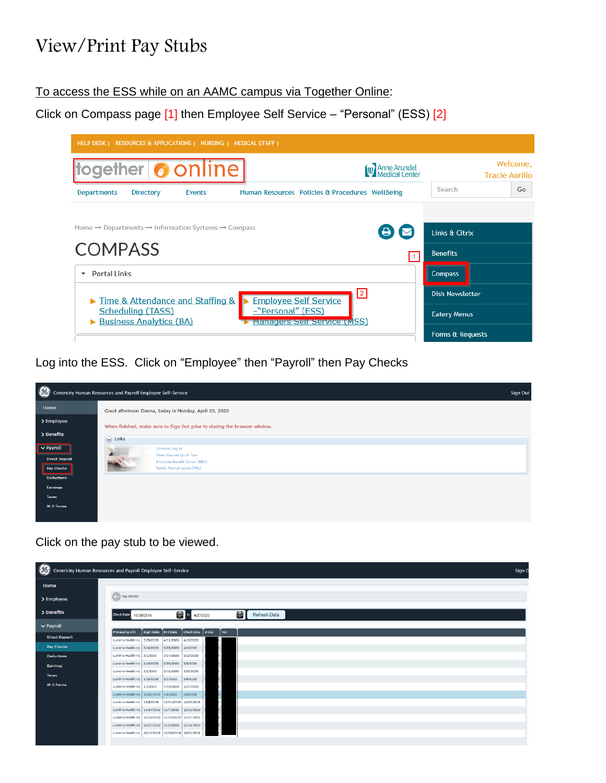## View/Print Pay Stubs

## To access the ESS while on an AAMC campus via Together Online:

Click on Compass page [1] then Employee Self Service – "Personal" (ESS) [2]



Log into the ESS. Click on "Employee" then "Payroll" then Pay Checks



Click on the pay stub to be viewed.

|                       | Contricity Human Resources and Payroll Employee Self-Service  |                                                      |                                  |                   |  |  |
|-----------------------|---------------------------------------------------------------|------------------------------------------------------|----------------------------------|-------------------|--|--|
|                       |                                                               |                                                      |                                  |                   |  |  |
|                       | Pay Checks                                                    |                                                      |                                  |                   |  |  |
|                       | Check Date<br>10/20/2019                                      |                                                      | $\mathbb{H}$ to<br>4/27/2020     | 羀<br>Refresh Data |  |  |
|                       |                                                               |                                                      |                                  |                   |  |  |
| <b>Direct Deposit</b> | Processing Unit<br>Luminis Health Inc. 3/29/2020              | Begin Date<br><b>End Date</b><br>4/11/2020           | Check Date<br>oross<br>4/16/2020 | Net               |  |  |
|                       | Luminis Health Inc. 3/15/2020                                 | 3/28/2020                                            | 4/2/2020                         |                   |  |  |
|                       | Luminis Health Inc. 3/1/2020                                  | 3/14/2020                                            | 3/19/2020                        |                   |  |  |
|                       | Luminis Health Inc. 2/16/2020                                 | 2/29/2020                                            | 3/5/2020                         |                   |  |  |
|                       | Luminis Health Inc. 2/2/2020                                  | 2/15/2020                                            | 2/20/2020                        |                   |  |  |
|                       | Luminis Health Inc. 1/19/2020<br>Luminis Health Inc. 1/5/2020 | 2/1/2020<br>1/18/2020                                | 2/6/2020<br>1/23/2020            |                   |  |  |
|                       |                                                               | Luminis Health Inc.   12/22/2019   1/4/2020          | 1/9/2020                         |                   |  |  |
|                       | Luminis Health Inc. 12/8/2019                                 |                                                      | 12/21/2019 12/26/2019            |                   |  |  |
|                       |                                                               | Luminis Health Inc. 11/24/2019 12/7/2019 12/12/2019  |                                  |                   |  |  |
|                       |                                                               | Luminis Health Inc. 11/10/2019 11/23/2019 11/27/2019 |                                  |                   |  |  |
|                       |                                                               | Luminis Health Inc. 10/27/2019 11/9/2019             | 11/14/2019                       |                   |  |  |
|                       |                                                               | Luminis Health Inc. 10/13/2019 10/26/2019 10/31/2019 |                                  |                   |  |  |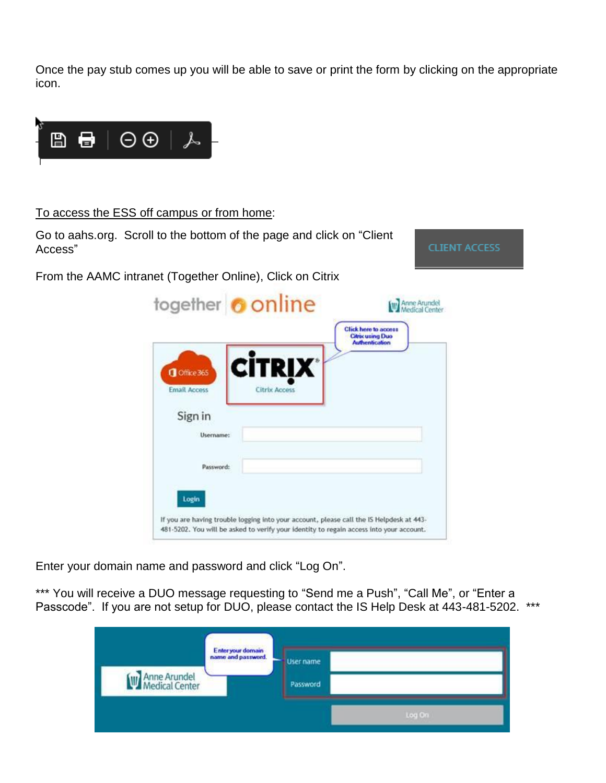Once the pay stub comes up you will be able to save or print the form by clicking on the appropriate icon.



To access the ESS off campus or from home:

Go to aahs.org. Scroll to the bottom of the page and click on "Client Access"

From the AAMC intranet (Together Online), Click on Citrix

**CLIENT ACCESS** 

|                                   |                                         | <b>Click here to access</b><br><b>Citrix using Duo</b><br><b>Authentication</b> |
|-----------------------------------|-----------------------------------------|---------------------------------------------------------------------------------|
| Office 365<br><b>Email Access</b> | <b>CİTRIX</b> *<br><b>Citrix Access</b> |                                                                                 |
| Sign in                           |                                         |                                                                                 |
| Username:                         |                                         |                                                                                 |
| Password:                         |                                         |                                                                                 |
| Login                             |                                         |                                                                                 |

Enter your domain name and password and click "Log On".

\*\*\* You will receive a DUO message requesting to "Send me a Push", "Call Me", or "Enter a Passcode". If you are not setup for DUO, please contact the IS Help Desk at 443-481-5202. \*\*\*

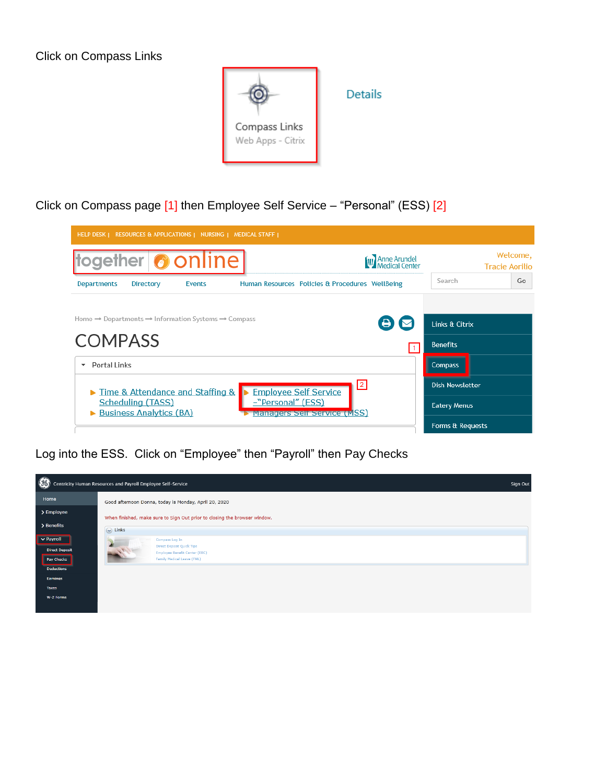Click on Compass Links



Click on Compass page [1] then Employee Self Service – "Personal" (ESS) [2]

| HELP DESK   RESOURCES & APPLICATIONS   NURSING   MEDICAL STAFF                                           |                                                           |                                   |  |  |  |  |  |  |
|----------------------------------------------------------------------------------------------------------|-----------------------------------------------------------|-----------------------------------|--|--|--|--|--|--|
| together <b>O</b> online                                                                                 | <b>W</b> Anne Arundel                                     | Welcome,<br><b>Tracie Aorilio</b> |  |  |  |  |  |  |
| <b>Departments</b><br>Directory<br><b>Events</b>                                                         | Search<br>Human Resources Policies & Procedures WellBeing | Go                                |  |  |  |  |  |  |
| Home $\rightarrow$ Departments $\rightarrow$ Information Systems $\rightarrow$ Compass<br><b>COMPASS</b> | Links & Citrix<br><b>Benefits</b>                         |                                   |  |  |  |  |  |  |
| Portal Links<br>$\overline{\phantom{a}}$                                                                 | <b>Compass</b>                                            |                                   |  |  |  |  |  |  |
| Time & Attendance and Staffing &                                                                         | $\sqrt{2}$<br><b>Employee Self Service</b>                | <b>Dish Newsletter</b>            |  |  |  |  |  |  |
| Scheduling (TASS)<br>-"Personal" (ESS)<br><b>Business Analytics (BA)</b>                                 | <b>Eatery Menus</b><br>Managers Self Service (MSS)        |                                   |  |  |  |  |  |  |
|                                                                                                          | Forms & Requests                                          |                                   |  |  |  |  |  |  |

Log into the ESS. Click on "Employee" then "Payroll" then Pay Checks